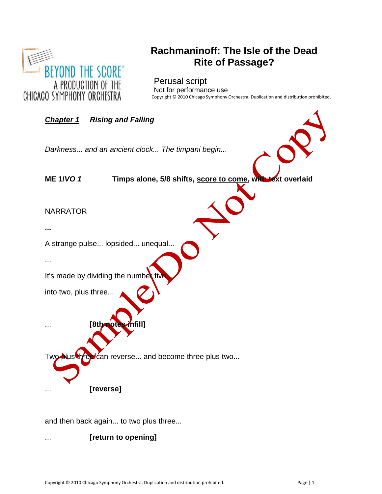

# **Rachmaninoff: The Isle of the Dead Rite of Passage?**

# **Perusal script**

Not for performance use Copyright © 2010 Chicago Symphony Orchestra. Duplication and distribution prohibited.



and then back again... to two plus three...

... **[return to opening]**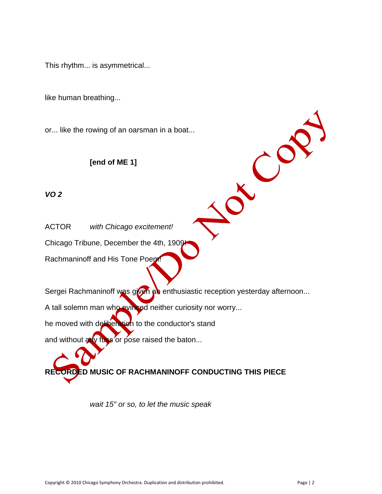This rhythm... is asymmetrical...

like human breathing...

or... like the rowing of an oarsman in a boat...

# **[end of ME 1]**

# *VO 2*

ACTOR *with Chicago excitement!*

Chicago Tribune, December the 4th, 1909!

Rachmaninoff and His Tone Poem!

Sergei Rachmaninoff was given an enthusiastic reception yesterday afternoon...

A tall solemn man who evinced neither curiosity nor worry...

he moved with deliberation to the conductor's stand

and without  $\frac{1}{2}$  or pose raised the baton...

# **RECORDED MUSIC OF RACHMANINOFF CONDUCTING THIS PIECE**

*wait 15" or so, to let the music speak*

LCO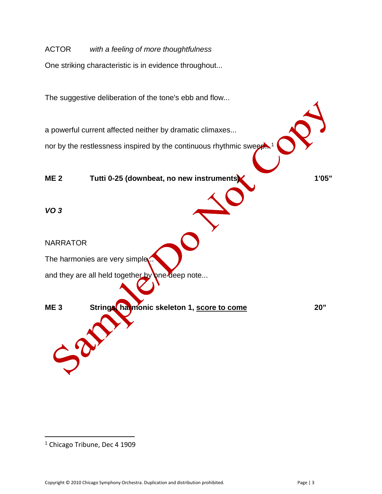ACTOR *with a feeling of more thoughtfulness* One striking characteristic is in evidence throughout... The suggestive deliberation of the tone's ebb and flow... a powerful current affected neither by dramatic climaxes... nor by the restlessness inspired by the continuous rhythmic sweep...<sup>1</sup> **ME 2 Tutti 0-25 (downbeat, no new instruments) 1'05"** *VO 3* NARRATOR The harmonies are very simple... and they are all held together by one deep note... **ME 3 Strings, harmonic skeleton 1, score to come 20"**  $\bm{\Omega}$ 

<sup>&</sup>lt;sup>1</sup> Chicago Tribune, Dec 4 1909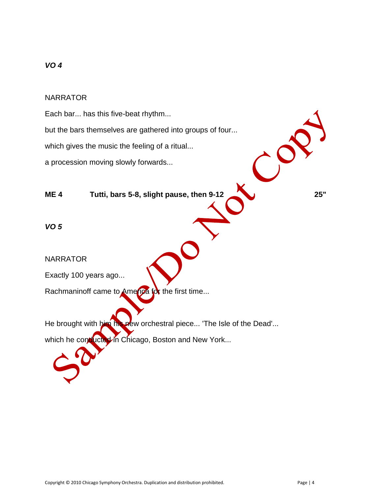## NARRATOR

Each bar... has this five-beat rhythm...

but the bars themselves are gathered into groups of four...

which gives the music the feeling of a ritual...

a procession moving slowly forwards...

# **ME 4 Tutti, bars 5-8, slight pause, then 9-12 25"**

*VO 5*

NARRATOR

Exactly 100 years ago...

Rachmaninoff came to America for the first time...

He brought with him his new orchestral piece... 'The Isle of the Dead'... which he conducted in Chicago, Boston and New York...

 $\mathcal{C}^{\mathbf{C}}$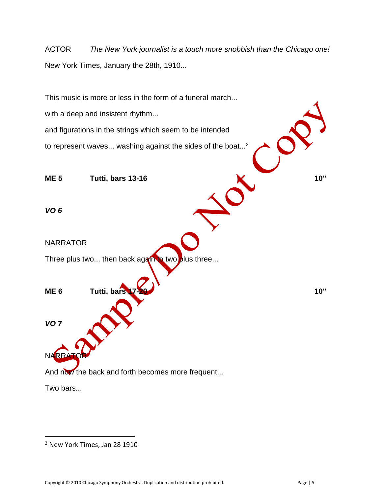ACTOR *The New York journalist is a touch more snobbish than the Chicago one!* New York Times, January the 28th, 1910...

This music is more or less in the form of a funeral march... with a deep and insistent rhythm... and figurations in the strings which seem to be intended to represent waves... washing against the sides of the boat...<sup>2</sup> **ME 5 Tutti, bars 13-16 10"** *VO 6* NARRATOR Three plus two... then back again to two plus three... **ME 6 Tutti, bars 17-20 10"** *VO 7* NARRA And now the back and forth becomes more frequent...

Two bars...

<sup>2</sup> New York Times, Jan 28 1910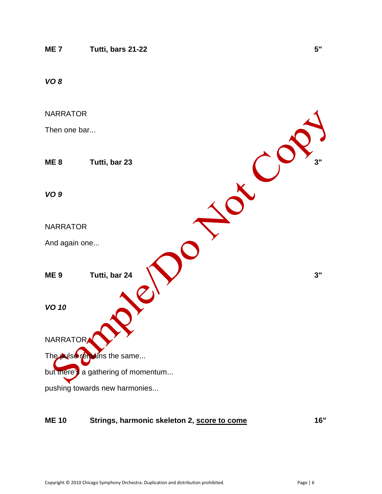

#### **ME 10 Strings, harmonic skeleton 2, score to come 16"**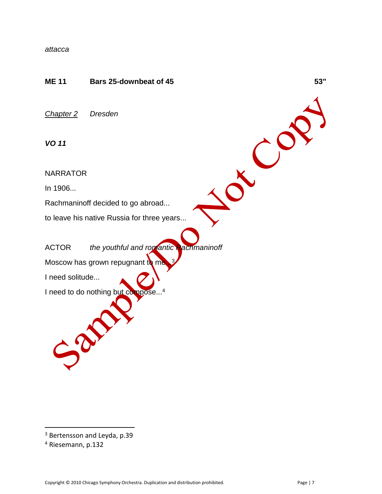#### *attacca*

# **ME 11 Bars 25-downbeat of 45 53"**

*Chapter 2 Dresden*

*VO 11*

NARRATOR

In 1906...

Rachmaninoff decided to go abroad...

to leave his native Russia for three years...

ACTOR *the youthful and romantic Rachmaninoff*

Moscow has grown repugnant to me.

I need solitude...

Sol

I need to do nothing but compose...<sup>4</sup>

 $\overline{\phantom{a}}$ 

TCO

<sup>3</sup> Bertensson and Leyda, p.39

<sup>4</sup> Riesemann, p.132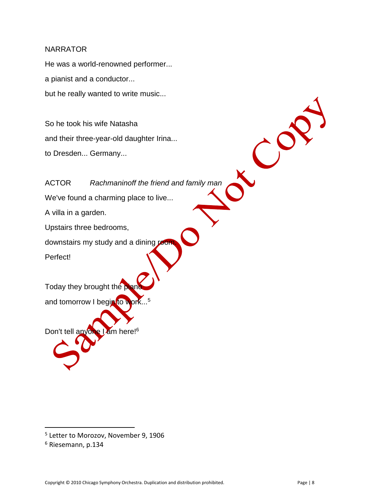He was a world-renowned performer... a pianist and a conductor... but he really wanted to write music...

So he took his wife Natasha and their three-year-old daughter Irina... to Dresden... Germany...

 $\mathcal{C}^{\mathcal{S}}$ ACTOR *Rachmaninoff the friend and family man* We've found a charming place to live... A villa in a garden. Upstairs three bedrooms, downstairs my study and a dining room Perfect! Today they brought the plan and tomorrow I begin to work...<sup>5</sup> Don't tell anyone I am here!<sup>6</sup>

<sup>&</sup>lt;sup>5</sup> Letter to Morozov, November 9, 1906

<sup>6</sup> Riesemann, p.134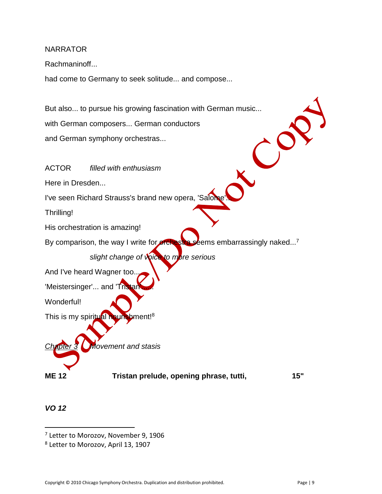Rachmaninoff...

had come to Germany to seek solitude... and compose...

But also... to pursue his growing fascination with German music... with German composers... German conductors and German symphony orchestras...

ACTOR *filled with enthusiasm* Here in Dresden... I've seen Richard Strauss's brand new opera, 'Salon Thrilling! His orchestration is amazing! By comparison, the way I write for orchestra seems embarrassingly naked...<sup>7</sup> *slight change of voice to more serious* And I've heard Wagner too... 'Meistersinger'... and 'Tristar Wonderful! This is my spiritual nourishment!<sup>8</sup> *Chapter 3 Movement and stasis* **ME 12 Tristan prelude, opening phrase, tutti, 15"**

*VO 12*

<sup>&</sup>lt;sup>7</sup> Letter to Morozov, November 9, 1906

<sup>8</sup> Letter to Morozov, April 13, 1907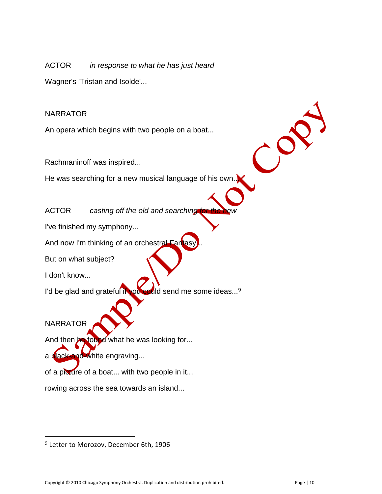ACTOR *in response to what he has just heard*

Wagner's 'Tristan and Isolde'...

# NARRATOR

An opera which begins with two people on a boat...

Rachmaninoff was inspired...

He was searching for a new musical language of his own.

ACTOR casting off the old and searching

I've finished my symphony...

And now I'm thinking of an orchestral Fan

But on what subject?

I don't know...

I'd be glad and grateful if you could send me some ideas...<sup>9</sup>

**NARRATOR** 

 $\overline{\phantom{a}}$ 

And then **he found** what he was looking for...

a black-and-white engraving...

of a picture of a boat... with two people in it...

rowing across the sea towards an island...

 $\mathcal{C}^{\mathcal{S}}$ 

<sup>9</sup> Letter to Morozov, December 6th, 1906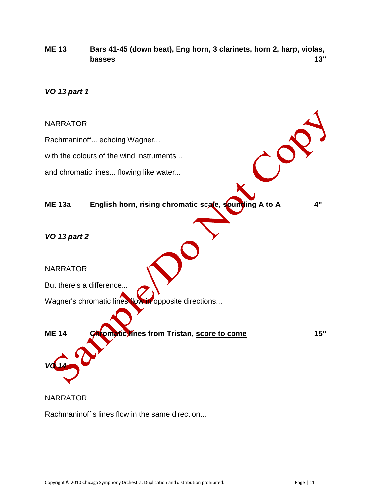**ME 13 Bars 41-45 (down beat), Eng horn, 3 clarinets, horn 2, harp, violas, basses 13"**

*VO 13 part 1*



**NARRATOR** 

Rachmaninoff's lines flow in the same direction...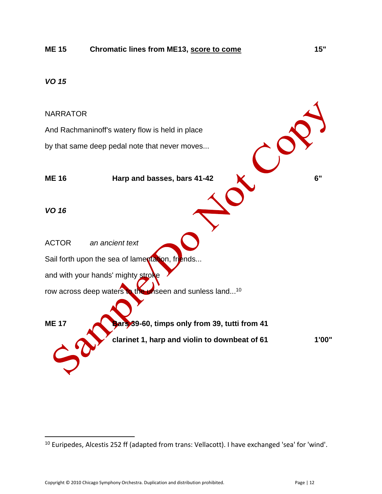#### NARRATOR

And Rachmaninoff's watery flow is held in place by that same deep pedal note that never moves...

**ME 16** Harp and basses, bars 41-42 **and the US** *VO 16* ACTOR *an ancient text* Sail forth upon the sea of lamentation, friends... and with your hands' mighty stroke row across deep waters to the unseen and sunless land...<sup>10</sup>

**ME 17 Bars** 39-60, timps only from 39, tutti from 41

 $\overline{\phantom{a}}$ <sup>10</sup> Euripedes, Alcestis 252 ff (adapted from trans: Vellacott). I have exchanged 'sea' for 'wind'.

**clarinet 1, harp and violin to downbeat of 61 1'00"**

Copyright © 2010 Chicago Symphony Orchestra. Duplication and distribution prohibited. Page | 12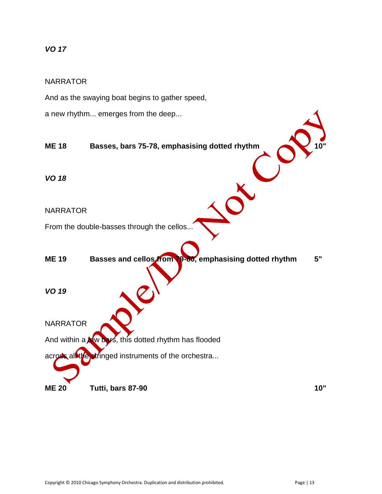#### NARRATOR

And as the swaying boat begins to gather speed,

a new rhythm... emerges from the deep...

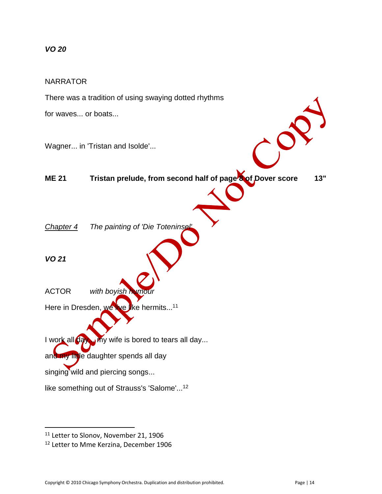#### NARRATOR

There was a tradition of using swaying dotted rhythms for waves... or boats... Wagner... in 'Tristan and Isolde'... **ME 21 Tristan prelude, from second half of page 8 of Dover score 13"** *Chapter 4 The painting of 'Die Toteninsel' VO 21* ACTOR *with boyish humour* Here in Dresden, we live like hermits...<sup>11</sup> I work all day... my wife is bored to tears all day... and my little daughter spends all day singing wild and piercing songs... like something out of Strauss's 'Salome'...<sup>12</sup>

<sup>&</sup>lt;sup>11</sup> Letter to Slonov, November 21, 1906

<sup>12</sup> Letter to Mme Kerzina, December 1906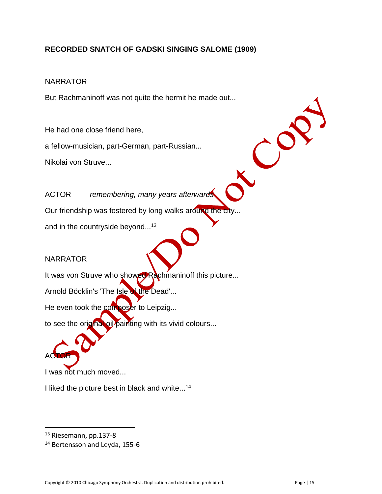# **RECORDED SNATCH OF GADSKI SINGING SALOME (1909)**

## NARRATOR

But Rachmaninoff was not quite the hermit he made out...

He had one close friend here,

a fellow-musician, part-German, part-Russian...

Nikolai von Struve...

ACTOR *remembering, many years afterwards*

Our friendship was fostered by long walks around the city...

and in the countryside beyond...<sup>13</sup>

# **NARRATOR**

ACTOR

 $\overline{\phantom{a}}$ 

It was von Struve who showed Rachmaninoff this picture...

Arnold Böcklin's 'The Isle of the Dead'...

He even took the composer to Leipzig...

to see the original oil painting with its vivid colours...

I was not much moved...

I liked the picture best in black and white...<sup>14</sup>

 $\mathcal{C}^{\mathcal{O}}$ 

<sup>13</sup> Riesemann, pp.137-8

<sup>&</sup>lt;sup>14</sup> Bertensson and Leyda, 155-6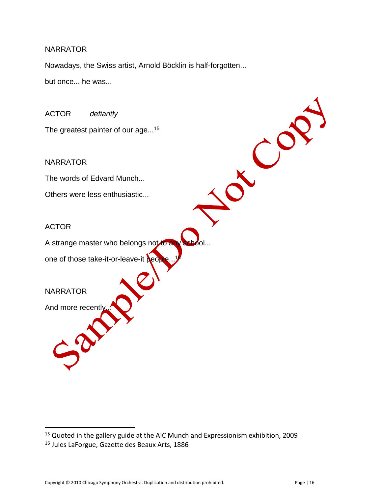Nowadays, the Swiss artist, Arnold Böcklin is half-forgotten...

but once... he was...

ACTOR *defiantly*

The greatest painter of our age...<sup>15</sup>

NARRATOR

The words of Edvard Munch...

Others were less enthusiastic...

#### ACTOR

A strange master who belongs not to an

one of those take-it-or-leave-it **people**.

# **NARRATOR**

 $\overline{\phantom{a}}$ 

And more recently

LCO

<sup>&</sup>lt;sup>15</sup> Quoted in the gallery guide at the AIC Munch and Expressionism exhibition, 2009

<sup>16</sup> Jules LaForgue, Gazette des Beaux Arts, 1886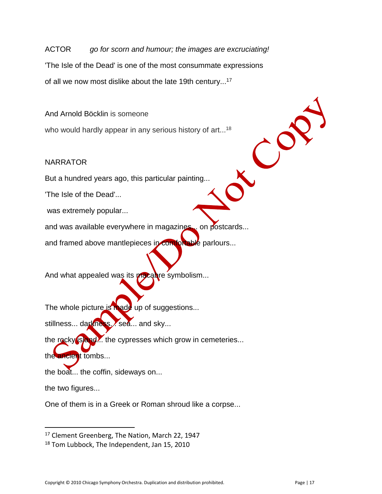ACTOR *go for scorn and humour; the images are excruciating!* 'The Isle of the Dead' is one of the most consummate expressions of all we now most dislike about the late 19th century...<sup>17</sup>

And Arnold Böcklin is someone

who would hardly appear in any serious history of art...<sup>18</sup>

# NARRATOR

But a hundred years ago, this particular painting...

'The Isle of the Dead'...

was extremely popular...

and was available everywhere in magazines... on postcards...

and framed above mantlepieces in comfortable parlours...

And what appealed was its macabre symbolism...

The whole picture is made up of suggestions...

stillness... darkness... sea... and sky...

the rocky **is and...** the cypresses which grow in cemeteries...

the ancient tombs...

the boat... the coffin, sideways on...

the two figures...

 $\overline{\phantom{a}}$ 

One of them is in a Greek or Roman shroud like a corpse...

<sup>&</sup>lt;sup>17</sup> Clement Greenberg, The Nation, March 22, 1947

<sup>&</sup>lt;sup>18</sup> Tom Lubbock, The Independent, Jan 15, 2010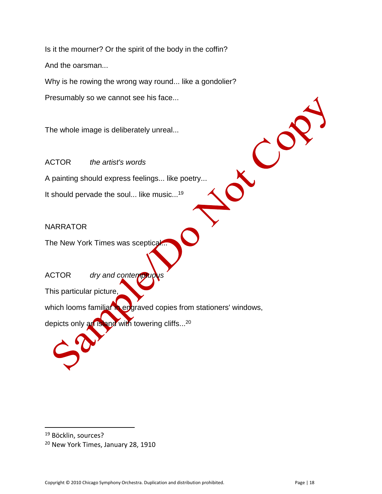Is it the mourner? Or the spirit of the body in the coffin? And the oarsman...

Why is he rowing the wrong way round... like a gondolier?

Presumably so we cannot see his face...

The whole image is deliberately unreal...

ACTOR *the artist's words* A painting should express feelings... like poetry...

It should pervade the soul... like music...<sup>19</sup>

# **NARRATOR**

The New York Times was sceptical.

ACTOR *dry and contemptud* 

This particular picture,

which looms familiar in engraved copies from stationers' windows,

depicts only an island with towering cliffs...<sup>20</sup>

 $\overline{\phantom{a}}$ 

CO

<sup>&</sup>lt;sup>19</sup> Böcklin, sources?

<sup>20</sup> New York Times, January 28, 1910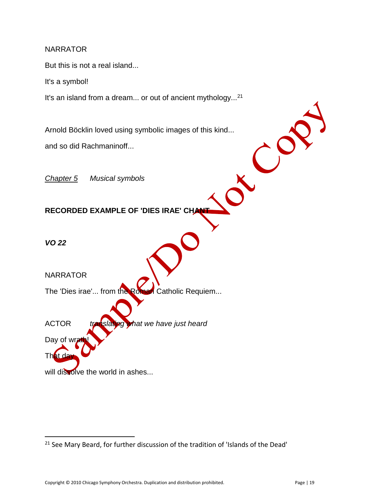But this is not a real island...

It's a symbol!

It's an island from a dream... or out of ancient mythology...<sup>21</sup>

Arnold Böcklin loved using symbolic images of this kind...<br>and so did Rachmaninoff...<br>Chapter 5 Musical symbols and so did Rachmaninoff...

*Chapter 5 Musical symbols*

**RECORDED EXAMPLE OF 'DIES IRAE' CHAN** 

*VO 22*

That da

 $\overline{\phantom{a}}$ 

**NARRATOR** 

The 'Dies irae'... from the Roman Catholic Requiem...

ACTOR *translating what we have just heard* Day of wr

will dissolve the world in ashes...

<sup>&</sup>lt;sup>21</sup> See Mary Beard, for further discussion of the tradition of 'Islands of the Dead'